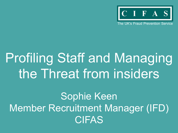

The UK's Fraud Prevention Service

# Profiling Staff and Managing the Threat from insiders

Sophie Keen Member Recruitment Manager (IFD) **CIFAS**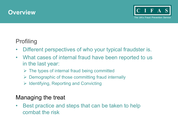



#### Profiling

- Different perspectives of who your typical fraudster is.
- What cases of internal fraud have been reported to us in the last year:
	- $\triangleright$  The types of internal fraud being committed
	- $\triangleright$  Demographic of those committing fraud internally
	- $\triangleright$  Identifying, Reporting and Convicting

#### Managing the treat

Best practice and steps that can be taken to help combat the risk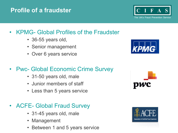#### • KPMG- Global Profiles of the Fraudster

- 36-55 years old,
- Senior management
- Over 6 years service

# • Pwc- Global Economic Crime Survey

- 31-50 years old, male
- Junior members of staff
- Less than 5 years service

# **ACFE- Global Fraud Survey**

- 31-45 years old, male
- Management
- Between 1 and 5 years service

**Profile of a fraudster** 







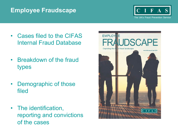#### **Employee Fraudscape**



- Cases filed to the CIFAS Internal Fraud Database
- Breakdown of the fraud types
- Demographic of those filed
- The identification, reporting and convictions of the cases

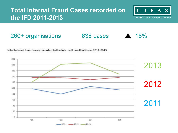#### **Total Internal Fraud Cases recorded on the IFD 2011-2013**



The UK's Fraud Prevention Service

#### 260+ organisations 638 cases ▲ 18%





Total Internal Fraud cases recorded to the Internal Fraud Database 2011-2013

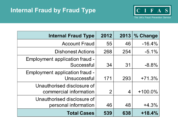

| <b>Internal Fraud Type</b>                           | 2012 | 2013 | % Change   |
|------------------------------------------------------|------|------|------------|
| <b>Account Fraud</b>                                 | 55   | 46   | $-16.4%$   |
| <b>Dishonest Actions</b>                             | 268  | 254  | $-5.1\%$   |
| Employment application fraud -<br>Successful         | 34   | 31   | $-8.8%$    |
| Employment application fraud -<br>Unsuccessful       | 171  | 293  | $+71.3%$   |
| Unauthorised disclosure of<br>commercial information | 2    | 4    | $+100.0\%$ |
| Unauthorised disclosure of<br>personal information   | 46   | 48   | $+4.3%$    |
| <b>Total Cases</b>                                   | 539  | 638  | $+18.4%$   |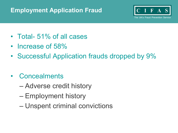#### **Employment Application Fraud**



- Total- 51% of all cases
- Increase of 58%
- Successful Application frauds dropped by 9%
- Concealments
	- Adverse credit history
	- Employment history
	- Unspent criminal convictions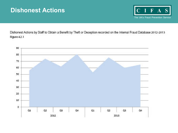#### **Dishonest Actions**



Dishonest Actions by Staff to Obtain a Benefit by Theft or Deception recorded on the Internal Fraud Database 2012-2013 Figure 4.2.1

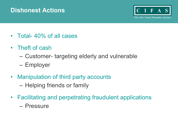#### **Dishonest Actions**



- Total- 40% of all cases
- Theft of cash
	- Customer- targeting elderly and vulnerable
	- Employer
- Manipulation of third party accounts
	- Helping friends or family
- Facilitating and perpetrating fraudulent applications
	- Pressure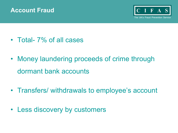



- Total- 7% of all cases
- Money laundering proceeds of crime through dormant bank accounts
- Transfers/ withdrawals to employee's account
- Less discovery by customers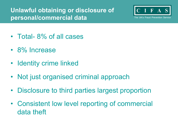**Unlawful obtaining or disclosure of personal/commercial data** 



- Total- 8% of all cases
- 8% Increase
- Identity crime linked
- Not just organised criminal approach
- Disclosure to third parties largest proportion
- Consistent low level reporting of commercial data theft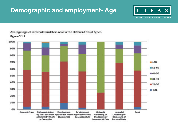#### **Demographic and employment- Age**



The UK's Fraud Prevention Service



Average age of internal fraudsters across the different fraud types Figure 5.1.1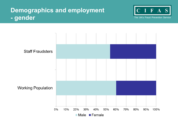#### **Demographics and employment - gender**



The UK's Fraud Prevention Service

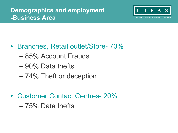

- Branches, Retail outlet/Store- 70%
	- 85% Account Frauds
	- 90% Data thefts
	- 74% Theft or deception
- Customer Contact Centres- 20%
	- 75% Data thefts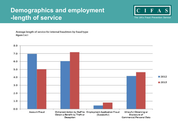#### **Demographics and employment -length of service**



The UK's Fraud Prevention Service

Average length of service for internal fraudsters by fraud type Rqure 5.4.1

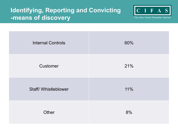#### **Identifying, Reporting and Convicting -means of discovery**



The UK's Fraud Prevention Service

| <b>Internal Controls</b> | 60% |
|--------------------------|-----|
| Customer                 | 21% |
| Staff/Whistleblower      | 11% |
| Other                    | 8%  |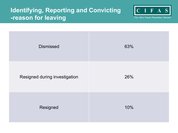#### **Identifying, Reporting and Convicting -reason for leaving**



The UK's Fraud Prevention Service

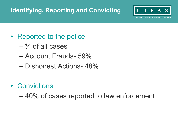# **Identifying, Reporting and Convicting**



The UK's Fraud Prevention Service

- Reported to the police
	- $-$  <sup>1</sup>/<sub>4</sub> of all cases
	- Account Frauds- 59%
	- Dishonest Actions- 48%
- Convictions

– 40% of cases reported to law enforcement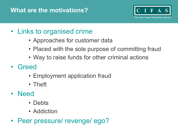## **What are the motivations?**



# • Links to organised crime

- Approaches for customer data
- Placed with the sole purpose of committing fraud
- Way to raise funds for other criminal actions
- Greed
	- Employment application fraud
	- Theft
- Need
	- Debts
	- Addiction
- Peer pressure/ revenge/ ego?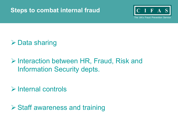#### **Steps to combat internal fraud**



The UK's Fraud Prevention Service

# $\triangleright$  Data sharing

# ! Interaction between HR, Fraud, Risk and Information Security depts.

 $\triangleright$  Internal controls

 $\triangleright$  Staff awareness and training